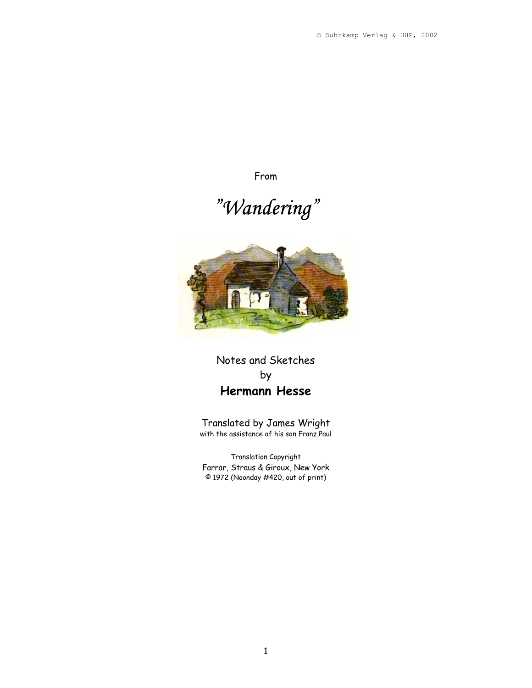From

## *"Wandering"*



## Notes and Sketches by **Hermann Hesse**

Translated by James Wright with the assistance of his son Franz Paul

Translation Copyright Farrar, Straus & Giroux, New York © 1972 (Noonday #420, out of print)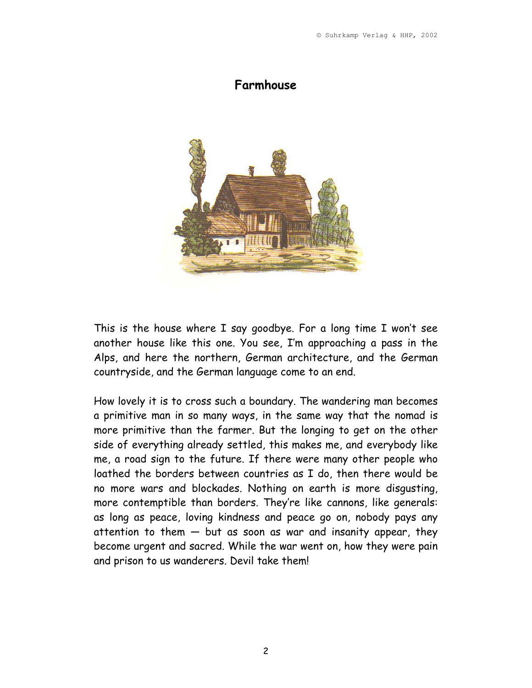## **Farmhouse**



This is the house where I say goodbye. For a long time I won't see another house like this one. You see, I'm approaching a pass in the Alps, and here the northern, German architecture, and the German countryside, and the German language come to an end.

How lovely it is to cross such a boundary. The wandering man becomes a primitive man in so many ways, in the same way that the nomad is more primitive than the farmer. But the longing to get on the other side of everything already settled, this makes me, and everybody like me, a road sign to the future. If there were many other people who loathed the borders between countries as I do, then there would be no more wars and blockades. Nothing on earth is more disgusting, more contemptible than borders. They're like cannons, like generals: as long as peace, loving kindness and peace go on, nobody pays any attention to them  $-$  but as soon as war and insanity appear, they become urgent and sacred. While the war went on, how they were pain and prison to us wanderers. Devil take them!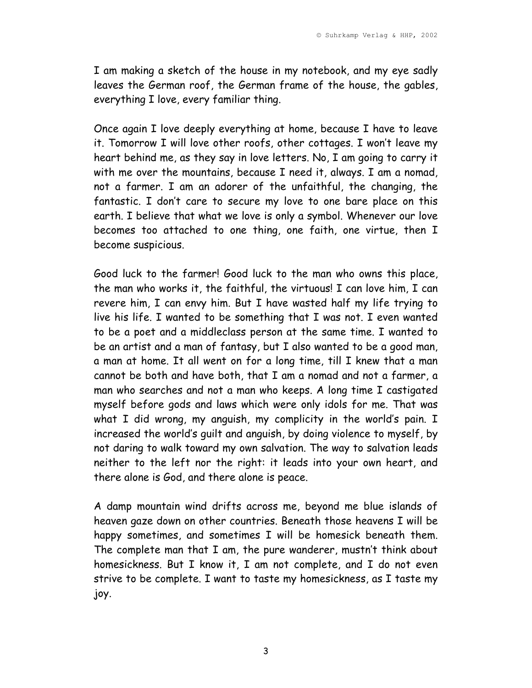I am making a sketch of the house in my notebook, and my eye sadly leaves the German roof, the German frame of the house, the gables, everything I love, every familiar thing.

Once again I love deeply everything at home, because I have to leave it. Tomorrow I will love other roofs, other cottages. I won't leave my heart behind me, as they say in love letters. No, I am going to carry it with me over the mountains, because I need it, always. I am a nomad, not a farmer. I am an adorer of the unfaithful, the changing, the fantastic. I don't care to secure my love to one bare place on this earth. I believe that what we love is only a symbol. Whenever our love becomes too attached to one thing, one faith, one virtue, then I become suspicious.

Good luck to the farmer! Good luck to the man who owns this place, the man who works it, the faithful, the virtuous! I can love him, I can revere him, I can envy him. But I have wasted half my life trying to live his life. I wanted to be something that I was not. I even wanted to be a poet and a middleclass person at the same time. I wanted to be an artist and a man of fantasy, but I also wanted to be a good man, a man at home. It all went on for a long time, till I knew that a man cannot be both and have both, that I am a nomad and not a farmer, a man who searches and not a man who keeps. A long time I castigated myself before gods and laws which were only idols for me. That was what I did wrong, my anguish, my complicity in the world's pain. I increased the world's guilt and anguish, by doing violence to myself, by not daring to walk toward my own salvation. The way to salvation leads neither to the left nor the right: it leads into your own heart, and there alone is God, and there alone is peace.

A damp mountain wind drifts across me, beyond me blue islands of heaven gaze down on other countries. Beneath those heavens I will be happy sometimes, and sometimes I will be homesick beneath them. The complete man that I am, the pure wanderer, mustn't think about homesickness. But I know it, I am not complete, and I do not even strive to be complete. I want to taste my homesickness, as I taste my joy.